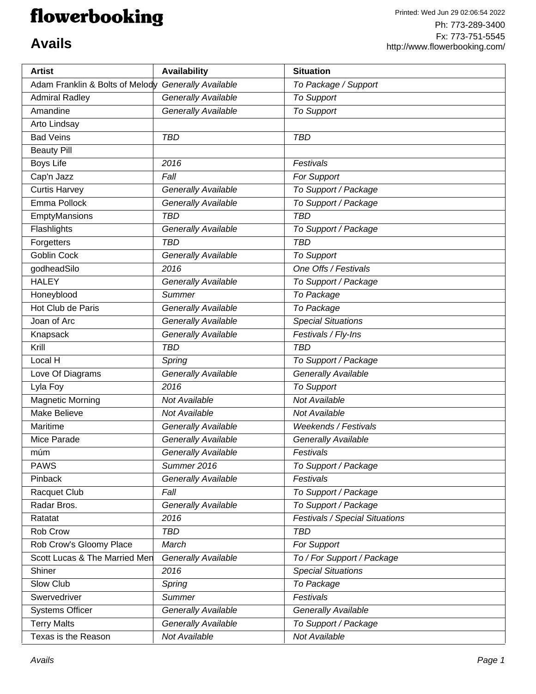## flowerbooking

| <b>Artist</b>                   | Availability               | <b>Situation</b>               |
|---------------------------------|----------------------------|--------------------------------|
| Adam Franklin & Bolts of Melody | <b>Generally Available</b> | To Package / Support           |
| <b>Admiral Radley</b>           | Generally Available        | <b>To Support</b>              |
| Amandine                        | Generally Available        | <b>To Support</b>              |
| Arto Lindsay                    |                            |                                |
| <b>Bad Veins</b>                | <b>TBD</b>                 | <b>TBD</b>                     |
| <b>Beauty Pill</b>              |                            |                                |
| <b>Boys Life</b>                | 2016                       | Festivals                      |
| Cap'n Jazz                      | Fall                       | <b>For Support</b>             |
| <b>Curtis Harvey</b>            | <b>Generally Available</b> | To Support / Package           |
| Emma Pollock                    | Generally Available        | To Support / Package           |
| EmptyMansions                   | <b>TBD</b>                 | <b>TBD</b>                     |
| Flashlights                     | Generally Available        | To Support / Package           |
| Forgetters                      | <b>TBD</b>                 | <b>TBD</b>                     |
| <b>Goblin Cock</b>              | Generally Available        | <b>To Support</b>              |
| godheadSilo                     | 2016                       | One Offs / Festivals           |
| <b>HALEY</b>                    | Generally Available        | To Support / Package           |
| Honeyblood                      | <b>Summer</b>              | To Package                     |
| Hot Club de Paris               | Generally Available        | To Package                     |
| Joan of Arc                     | Generally Available        | <b>Special Situations</b>      |
| Knapsack                        | Generally Available        | Festivals / Fly-Ins            |
| Krill                           | <b>TBD</b>                 | <b>TBD</b>                     |
| Local H                         | Spring                     | To Support / Package           |
| Love Of Diagrams                | <b>Generally Available</b> | <b>Generally Available</b>     |
| Lyla Foy                        | 2016                       | <b>To Support</b>              |
| <b>Magnetic Morning</b>         | Not Available              | Not Available                  |
| <b>Make Believe</b>             | Not Available              | Not Available                  |
| Maritime                        | <b>Generally Available</b> | <b>Weekends / Festivals</b>    |
| Mice Parade                     | <b>Generally Available</b> | Generally Available            |
| múm                             | <b>Generally Available</b> | Festivals                      |
| <b>PAWS</b>                     | Summer 2016                | To Support / Package           |
| Pinback                         | Generally Available        | Festivals                      |
| Racquet Club                    | Fall                       | To Support / Package           |
| Radar Bros.                     | Generally Available        | To Support / Package           |
| Ratatat                         | 2016                       | Festivals / Special Situations |
| Rob Crow                        | <b>TBD</b>                 | <b>TBD</b>                     |
| Rob Crow's Gloomy Place         | March                      | For Support                    |
| Scott Lucas & The Married Men   | Generally Available        | To / For Support / Package     |
| Shiner                          | 2016                       | <b>Special Situations</b>      |
| Slow Club                       | Spring                     | To Package                     |
| Swervedriver                    | <b>Summer</b>              | Festivals                      |
| <b>Systems Officer</b>          | Generally Available        | Generally Available            |
| <b>Terry Malts</b>              | Generally Available        | To Support / Package           |
| Texas is the Reason             | Not Available              | Not Available                  |